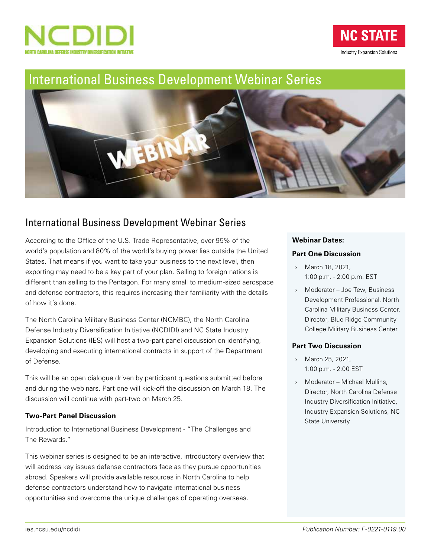

**NC STATE Industry Expansion Solutions** 

# [International Business Development Webinar Series](https://www.ies.ncsu.edu/ncdidi/ncdidi_webinar/)



# International Business Development Webinar Series

According to the Office of the U.S. Trade Representative, over 95% of the world's population and 80% of the world's buying power lies outside the United States. That means if you want to take your business to the next level, then exporting may need to be a key part of your plan. Selling to foreign nations is different than selling to the Pentagon. For many small to medium-sized aerospace and defense contractors, this requires increasing their familiarity with the details of how it's done.

The North Carolina Military Business Center (NCMBC), the North Carolina Defense Industry Diversification Initiative (NCDIDI) and NC State Industry Expansion Solutions (IES) will host a two-part panel discussion on identifying, developing and executing international contracts in support of the Department of Defense.

This will be an open dialogue driven by participant questions submitted before and during the webinars. Part one will kick-off the discussion on March 18. The discussion will continue with part-two on March 25.

### **Two-Part Panel Discussion**

Introduction to International Business Development - "The Challenges and The Rewards."

This webinar series is designed to be an interactive, introductory overview that will address key issues defense contractors face as they pursue opportunities abroad. Speakers will provide available resources in North Carolina to help defense contractors understand how to navigate international business opportunities and overcome the unique challenges of operating overseas.

### **Webinar Dates:**

### **Part One Discussion**

- › March 18, 2021, 1:00 p.m. - 2:00 p.m. EST
- › Moderator Joe Tew, Business Development Professional, North Carolina Military Business Center, Director, Blue Ridge Community College Military Business Center

### **Part Two Discussion**

- › March 25, 2021, 1:00 p.m. - 2:00 EST
- › Moderator Michael Mullins, Director, North Carolina Defense Industry Diversification Initiative, Industry Expansion Solutions, NC State University